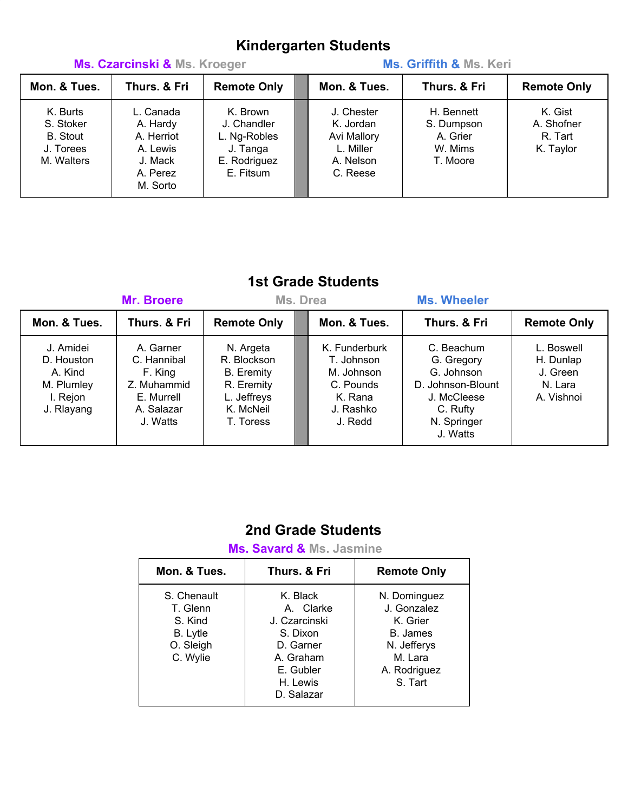# **Kindergarten Students**

| Ms. Czarcinski & Ms. Kroeger                                        |                                                                                    |                                                                                  | Ms. Griffith & Ms. Keri                                                      |                                                             |                                               |  |
|---------------------------------------------------------------------|------------------------------------------------------------------------------------|----------------------------------------------------------------------------------|------------------------------------------------------------------------------|-------------------------------------------------------------|-----------------------------------------------|--|
| Mon. & Tues.                                                        | Thurs. & Fri                                                                       | <b>Remote Only</b>                                                               | Mon. & Tues.                                                                 | Thurs. & Fri                                                | <b>Remote Only</b>                            |  |
| K. Burts<br>S. Stoker<br><b>B.</b> Stout<br>J. Torees<br>M. Walters | L. Canada<br>A. Hardy<br>A. Herriot<br>A. Lewis<br>J. Mack<br>A. Perez<br>M. Sorto | K. Brown<br>J. Chandler<br>L. Ng-Robles<br>J. Tanga<br>E. Rodriguez<br>E. Fitsum | J. Chester<br>K. Jordan<br>Avi Mallory<br>L. Miller<br>A. Nelson<br>C. Reese | H. Bennett<br>S. Dumpson<br>A. Grier<br>W. Mims<br>T. Moore | K. Gist<br>A. Shofner<br>R. Tart<br>K. Taylor |  |

### **1st Grade Students**

| Mr. Broere                                                                 |                                                                                            | Ms. Drea                                                                                             |  |                                                                                           | <b>Ms. Wheeler</b>                                                                                                |                                                              |  |
|----------------------------------------------------------------------------|--------------------------------------------------------------------------------------------|------------------------------------------------------------------------------------------------------|--|-------------------------------------------------------------------------------------------|-------------------------------------------------------------------------------------------------------------------|--------------------------------------------------------------|--|
| Mon. & Tues.                                                               | Thurs. & Fri                                                                               | <b>Remote Only</b>                                                                                   |  | Mon. & Tues.                                                                              | Thurs. & Fri                                                                                                      | <b>Remote Only</b>                                           |  |
| J. Amidei<br>D. Houston<br>A. Kind<br>M. Plumley<br>I. Rejon<br>J. Rlayang | A. Garner<br>C. Hannibal<br>F. King<br>Z. Muhammid<br>E. Murrell<br>A. Salazar<br>J. Watts | N. Argeta<br>R. Blockson<br><b>B.</b> Eremity<br>R. Eremity<br>L. Jeffreys<br>K. McNeil<br>T. Toress |  | K. Funderburk<br>T. Johnson<br>M. Johnson<br>C. Pounds<br>K. Rana<br>J. Rashko<br>J. Redd | C. Beachum<br>G. Gregory<br>G. Johnson<br>D. Johnson-Blount<br>J. McCleese<br>C. Rufty<br>N. Springer<br>J. Watts | L. Boswell<br>H. Dunlap<br>J. Green<br>N. Lara<br>A. Vishnoi |  |

## **2nd Grade Students**

 **Ms. Savard & Ms. Jasmine**

| Mon. & Tues.                                                                   | Thurs, & Fri                                                                                                        | <b>Remote Only</b>                                                                                       |  |  |
|--------------------------------------------------------------------------------|---------------------------------------------------------------------------------------------------------------------|----------------------------------------------------------------------------------------------------------|--|--|
| S. Chenault<br>T. Glenn<br>S. Kind<br><b>B.</b> Lytle<br>O. Sleigh<br>C. Wylie | K. Black<br>A. Clarke<br>J. Czarcinski<br>S. Dixon<br>D. Garner<br>A. Graham<br>E. Gubler<br>H. Lewis<br>D. Salazar | N. Dominguez<br>J. Gonzalez<br>K. Grier<br>B. James<br>N. Jefferys<br>M. Lara<br>A. Rodriguez<br>S. Tart |  |  |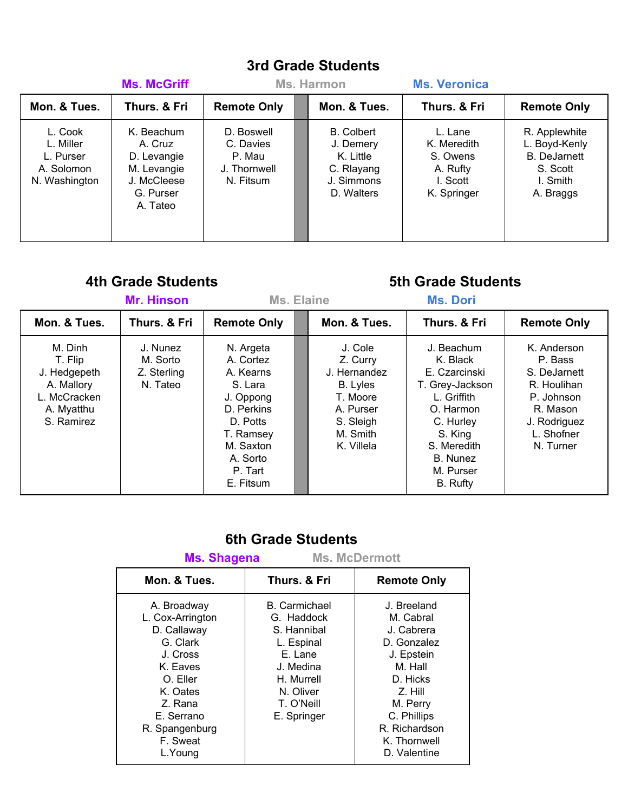# **3rd Grade Students**

|                                                                  | <b>Ms. McGriff</b>                                                                          | Ms. Harmon                                                     |  |                                                                                       | <b>Ms. Veronica</b>                                                       |                                                                                            |
|------------------------------------------------------------------|---------------------------------------------------------------------------------------------|----------------------------------------------------------------|--|---------------------------------------------------------------------------------------|---------------------------------------------------------------------------|--------------------------------------------------------------------------------------------|
| Mon. & Tues.                                                     | Thurs, & Fri                                                                                | <b>Remote Only</b>                                             |  | Mon. & Tues.                                                                          | Thurs, & Fri                                                              | <b>Remote Only</b>                                                                         |
| L. Cook<br>L. Miller<br>L. Purser<br>A. Solomon<br>N. Washington | K. Beachum<br>A. Cruz<br>D. Levangie<br>M. Levangie<br>J. McCleese<br>G. Purser<br>A. Tateo | D. Boswell<br>C. Davies<br>P. Mau<br>J. Thornwell<br>N. Fitsum |  | <b>B.</b> Colbert<br>J. Demery<br>K. Little<br>C. Rlayang<br>J. Simmons<br>D. Walters | L. Lane<br>K. Meredith<br>S. Owens<br>A. Rufty<br>I. Scott<br>K. Springer | R. Applewhite<br>L. Boyd-Kenly<br><b>B.</b> DeJarnett<br>S. Scott<br>I. Smith<br>A. Braggs |

### **4th Grade Students 5th Grade Students**

|                                                                                              | <b>Mr. Hinson</b>                               |                                                                                                                                                     | Ms. Elaine |                                                                                                                 |                                                                                                                                                                    |                                                                                                                            |
|----------------------------------------------------------------------------------------------|-------------------------------------------------|-----------------------------------------------------------------------------------------------------------------------------------------------------|------------|-----------------------------------------------------------------------------------------------------------------|--------------------------------------------------------------------------------------------------------------------------------------------------------------------|----------------------------------------------------------------------------------------------------------------------------|
| Mon. & Tues.                                                                                 | Thurs. & Fri                                    | <b>Remote Only</b>                                                                                                                                  |            | Mon. & Tues.                                                                                                    | Thurs. & Fri                                                                                                                                                       | <b>Remote Only</b>                                                                                                         |
| M. Dinh<br>T. Flip<br>J. Hedgepeth<br>A. Mallory<br>L. McCracken<br>A. Myatthu<br>S. Ramirez | J. Nunez<br>M. Sorto<br>Z. Sterling<br>N. Tateo | N. Argeta<br>A. Cortez<br>A. Kearns<br>S. Lara<br>J. Oppong<br>D. Perkins<br>D. Potts<br>T. Ramsey<br>M. Saxton<br>A. Sorto<br>P. Tart<br>E. Fitsum |            | J. Cole<br>Z. Curry<br>J. Hernandez<br>B. Lyles<br>T. Moore<br>A. Purser<br>S. Sleigh<br>M. Smith<br>K. Villela | J. Beachum<br>K. Black<br>E. Czarcinski<br>T. Grey-Jackson<br>L. Griffith<br>O. Harmon<br>C. Hurley<br>S. King<br>S. Meredith<br>B. Nunez<br>M. Purser<br>B. Rufty | K. Anderson<br>P. Bass<br>S. DeJarnett<br>R. Houlihan<br>P. Johnson<br>R. Mason<br>J. Rodriguez<br>L. Shofner<br>N. Turner |

### **6th Grade Students Ms. Shagena Ms. McDermott**

| <u>MS. Shaqena</u>                                                                                                                                                           | <b>MS. MCDermott</b>                                                                                                                            |                                                                                                                                                                                   |
|------------------------------------------------------------------------------------------------------------------------------------------------------------------------------|-------------------------------------------------------------------------------------------------------------------------------------------------|-----------------------------------------------------------------------------------------------------------------------------------------------------------------------------------|
| Mon. & Tues.                                                                                                                                                                 | Thurs, & Fri                                                                                                                                    | <b>Remote Only</b>                                                                                                                                                                |
| A. Broadway<br>L. Cox-Arrington<br>D. Callaway<br>G. Clark<br>J. Cross<br>K. Eaves<br>O. Eller<br>K. Oates<br>Z. Rana<br>E. Serrano<br>R. Spangenburg<br>F. Sweat<br>L.Young | <b>B.</b> Carmichael<br>G. Haddock<br>S. Hannibal<br>L. Espinal<br>E. Lane<br>J. Medina<br>H. Murrell<br>N. Oliver<br>T. O'Neill<br>E. Springer | J. Breeland<br>M. Cabral<br>J. Cabrera<br>D. Gonzalez<br>J. Epstein<br>M. Hall<br>D. Hicks<br>Z. Hill<br>M. Perry<br>C. Phillips<br>R. Richardson<br>K. Thornwell<br>D. Valentine |
|                                                                                                                                                                              |                                                                                                                                                 |                                                                                                                                                                                   |